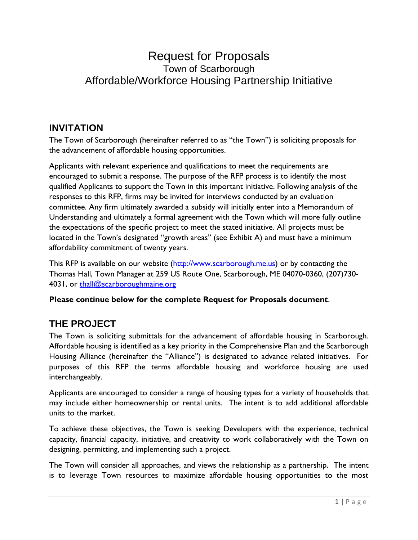# Request for Proposals Town of Scarborough Affordable/Workforce Housing Partnership Initiative

## **INVITATION**

The Town of Scarborough (hereinafter referred to as "the Town") is soliciting proposals for the advancement of affordable housing opportunities.

Applicants with relevant experience and qualifications to meet the requirements are encouraged to submit a response. The purpose of the RFP process is to identify the most qualified Applicants to support the Town in this important initiative. Following analysis of the responses to this RFP, firms may be invited for interviews conducted by an evaluation committee. Any firm ultimately awarded a subsidy will initially enter into a Memorandum of Understanding and ultimately a formal agreement with the Town which will more fully outline the expectations of the specific project to meet the stated initiative. All projects must be located in the Town's designated "growth areas" (see Exhibit A) and must have a minimum affordability commitment of twenty years.

This RFP is available on our website (http://www.scarborough.me.us) or by contacting the Thomas Hall, Town Manager at 259 US Route One, Scarborough, ME 04070-0360, (207)730 4031, or [thall@scarboroughmaine.org](mailto:thall@scarboroughmaine.org)

## **Please continue below for the complete Request for Proposals document**.

## **THE PROJECT**

The Town is soliciting submittals for the advancement of affordable housing in Scarborough. Affordable housing is identified as a key priority in the Comprehensive Plan and the Scarborough Housing Alliance (hereinafter the "Alliance") is designated to advance related initiatives. For purposes of this RFP the terms affordable housing and workforce housing are used interchangeably.

Applicants are encouraged to consider a range of housing types for a variety of households that may include either homeownership or rental units. The intent is to add additional affordable units to the market.

To achieve these objectives, the Town is seeking Developers with the experience, technical capacity, financial capacity, initiative, and creativity to work collaboratively with the Town on designing, permitting, and implementing such a project.

The Town will consider all approaches, and views the relationship as a partnership. The intent is to leverage Town resources to maximize affordable housing opportunities to the most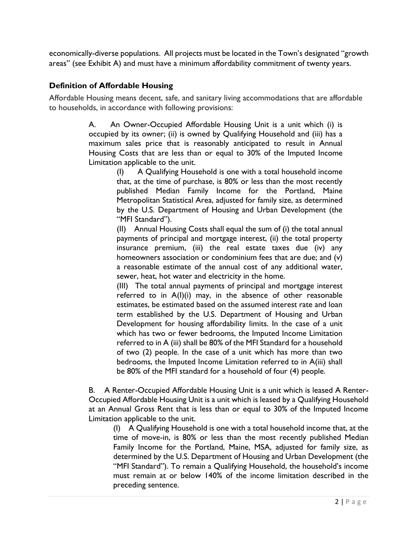economically-diverse populations. All projects must be located in the Town's designated "growth areas" (see Exhibit A) and must have a minimum affordability commitment of twenty years.

## **Definition of Affordable Housing**

Affordable Housing means decent, safe, and sanitary living accommodations that are affordable to households, in accordance with following provisions:

> A. An Owner-Occupied Affordable Housing Unit is a unit which (i) is occupied by its owner; (ii) is owned by Qualifying Household and (iii) has a maximum sales price that is reasonably anticipated to result in Annual Housing Costs that are less than or equal to 30% of the Imputed Income Limitation applicable to the unit.

(I) A Qualifying Household is one with a total household income that, at the time of purchase, is 80% or less than the most recently published Median Family Income for the Portland, Maine Metropolitan Statistical Area, adjusted for family size, as determined by the U.S. Department of Housing and Urban Development (the "MFI Standard").

(II) Annual Housing Costs shall equal the sum of (i) the total annual payments of principal and mortgage interest, (ii) the total property insurance premium, (iii) the real estate taxes due (iv) any homeowners association or condominium fees that are due; and (v) a reasonable estimate of the annual cost of any additional water, sewer, heat, hot water and electricity in the home.

(III) The total annual payments of principal and mortgage interest referred to in A(I)(i) may, in the absence of other reasonable estimates, be estimated based on the assumed interest rate and loan term established by the U.S. Department of Housing and Urban Development for housing affordability limits. In the case of a unit which has two or fewer bedrooms, the Imputed Income Limitation referred to in A (iii) shall be 80% of the MFI Standard for a household of two (2) people. In the case of a unit which has more than two bedrooms, the Imputed Income Limitation referred to in A(iii) shall be 80% of the MFI standard for a household of four (4) people.

B. A Renter-Occupied Affordable Housing Unit is a unit which is leased A Renter-Occupied Affordable Housing Unit is a unit which is leased by a Qualifying Household at an Annual Gross Rent that is less than or equal to 30% of the Imputed Income Limitation applicable to the unit.

(I) A Qualifying Household is one with a total household income that, at the time of move-in, is 80% or less than the most recently published Median Family Income for the Portland, Maine, MSA, adjusted for family size, as determined by the U.S. Department of Housing and Urban Development (the "MFI Standard"). To remain a Qualifying Household, the household's income must remain at or below 140% of the income limitation described in the preceding sentence.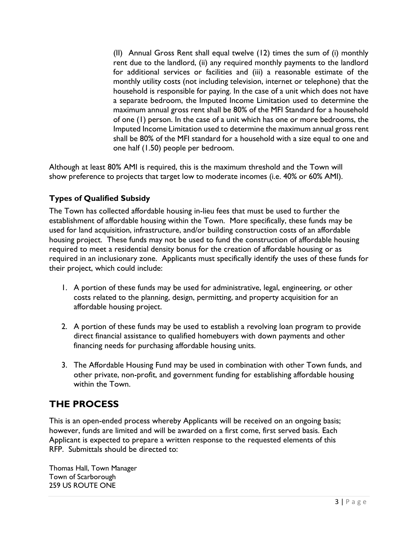(II) Annual Gross Rent shall equal twelve (12) times the sum of (i) monthly rent due to the landlord, (ii) any required monthly payments to the landlord for additional services or facilities and (iii) a reasonable estimate of the monthly utility costs (not including television, internet or telephone) that the household is responsible for paying. In the case of a unit which does not have a separate bedroom, the Imputed Income Limitation used to determine the maximum annual gross rent shall be 80% of the MFI Standard for a household of one (1) person. In the case of a unit which has one or more bedrooms, the Imputed Income Limitation used to determine the maximum annual gross rent shall be 80% of the MFI standard for a household with a size equal to one and one half (1.50) people per bedroom.

Although at least 80% AMI is required, this is the maximum threshold and the Town will show preference to projects that target low to moderate incomes (i.e. 40% or 60% AMI).

## **Types of Qualified Subsidy**

The Town has collected affordable housing in-lieu fees that must be used to further the establishment of affordable housing within the Town. More specifically, these funds may be used for land acquisition, infrastructure, and/or building construction costs of an affordable housing project. These funds may not be used to fund the construction of affordable housing required to meet a residential density bonus for the creation of affordable housing or as required in an inclusionary zone. Applicants must specifically identify the uses of these funds for their project, which could include:

- 1. A portion of these funds may be used for administrative, legal, engineering, or other costs related to the planning, design, permitting, and property acquisition for an affordable housing project.
- 2. A portion of these funds may be used to establish a revolving loan program to provide direct financial assistance to qualified homebuyers with down payments and other financing needs for purchasing affordable housing units.
- 3. The Affordable Housing Fund may be used in combination with other Town funds, and other private, non-profit, and government funding for establishing affordable housing within the Town.

# **THE PROCESS**

This is an open-ended process whereby Applicants will be received on an ongoing basis; however, funds are limited and will be awarded on a first come, first served basis. Each Applicant is expected to prepare a written response to the requested elements of this RFP. Submittals should be directed to:

Thomas Hall, Town Manager Town of Scarborough 259 US ROUTE ONE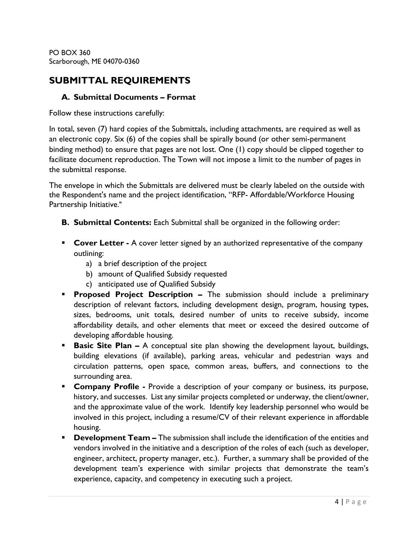PO BOX 360 Scarborough, ME 04070-0360

## **SUBMITTAL REQUIREMENTS**

#### **A. Submittal Documents – Format**

Follow these instructions carefully:

In total, seven (7) hard copies of the Submittals, including attachments, are required as well as an electronic copy. Six (6) of the copies shall be spirally bound (or other semi-permanent binding method) to ensure that pages are not lost. One (1) copy should be clipped together to facilitate document reproduction. The Town will not impose a limit to the number of pages in the submittal response.

The envelope in which the Submittals are delivered must be clearly labeled on the outside with the Respondent's name and the project identification, "RFP- Affordable/Workforce Housing Partnership Initiative."

- **B. Submittal Contents:** Each Submittal shall be organized in the following order:
- **Cover Letter -** A cover letter signed by an authorized representative of the company outlining:
	- a) a brief description of the project
	- b) amount of Qualified Subsidy requested
	- c) anticipated use of Qualified Subsidy
- **Proposed Project Description -** The submission should include a preliminary description of relevant factors, including development design, program, housing types, sizes, bedrooms, unit totals, desired number of units to receive subsidy, income affordability details, and other elements that meet or exceed the desired outcome of developing affordable housing.
- **Basic Site Plan -** A conceptual site plan showing the development layout, buildings, building elevations (if available), parking areas, vehicular and pedestrian ways and circulation patterns, open space, common areas, buffers, and connections to the surrounding area.
- **Company Profile -** Provide a description of your company or business, its purpose, history, and successes. List any similar projects completed or underway, the client/owner, and the approximate value of the work. Identify key leadership personnel who would be involved in this project, including a resume/CV of their relevant experience in affordable housing.
- **Development Team –** The submission shall include the identification of the entities and vendors involved in the initiative and a description of the roles of each (such as developer, engineer, architect, property manager, etc.). Further, a summary shall be provided of the development team's experience with similar projects that demonstrate the team's experience, capacity, and competency in executing such a project.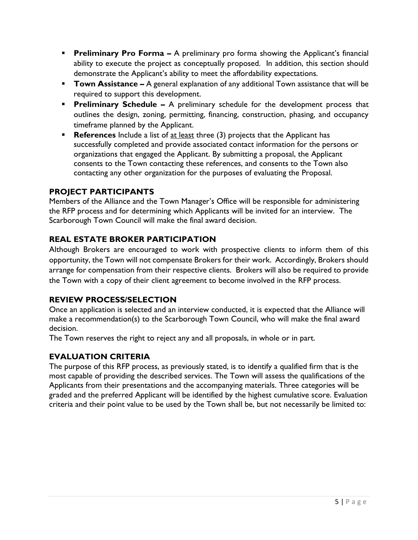- **Preliminary Pro Forma –** A preliminary pro forma showing the Applicant's financial ability to execute the project as conceptually proposed. In addition, this section should demonstrate the Applicant's ability to meet the affordability expectations.
- **Town Assistance –** A general explanation of any additional Town assistance that will be required to support this development.
- **Preliminary Schedule -** A preliminary schedule for the development process that outlines the design, zoning, permitting, financing, construction, phasing, and occupancy timeframe planned by the Applicant.
- **References** Include a list of at least three (3) projects that the Applicant has successfully completed and provide associated contact information for the persons or organizations that engaged the Applicant. By submitting a proposal, the Applicant consents to the Town contacting these references, and consents to the Town also contacting any other organization for the purposes of evaluating the Proposal.

## **PROJECT PARTICIPANTS**

Members of the Alliance and the Town Manager's Office will be responsible for administering the RFP process and for determining which Applicants will be invited for an interview. The Scarborough Town Council will make the final award decision.

## **REAL ESTATE BROKER PARTICIPATION**

Although Brokers are encouraged to work with prospective clients to inform them of this opportunity, the Town will not compensate Brokers for their work. Accordingly, Brokers should arrange for compensation from their respective clients. Brokers will also be required to provide the Town with a copy of their client agreement to become involved in the RFP process.

## **REVIEW PROCESS/SELECTION**

Once an application is selected and an interview conducted, it is expected that the Alliance will make a recommendation(s) to the Scarborough Town Council, who will make the final award decision.

The Town reserves the right to reject any and all proposals, in whole or in part.

## **EVALUATION CRITERIA**

The purpose of this RFP process, as previously stated, is to identify a qualified firm that is the most capable of providing the described services. The Town will assess the qualifications of the Applicants from their presentations and the accompanying materials. Three categories will be graded and the preferred Applicant will be identified by the highest cumulative score. Evaluation criteria and their point value to be used by the Town shall be, but not necessarily be limited to: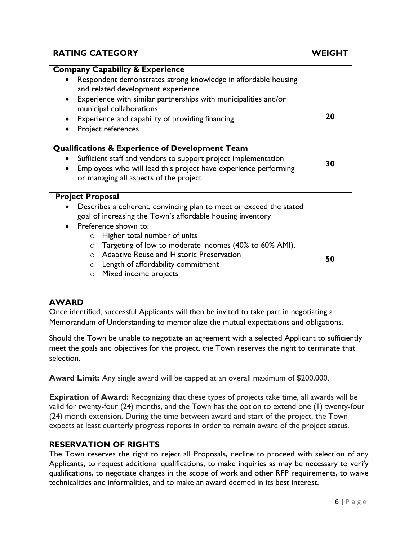| <b>RATING CATEGORY</b>                                                                                                                                                                                                                                                                                                                                                                                                            | <b>WEIGHT</b> |
|-----------------------------------------------------------------------------------------------------------------------------------------------------------------------------------------------------------------------------------------------------------------------------------------------------------------------------------------------------------------------------------------------------------------------------------|---------------|
| <b>Company Capability &amp; Experience</b>                                                                                                                                                                                                                                                                                                                                                                                        |               |
| Respondent demonstrates strong knowledge in affordable housing<br>and related development experience<br>Experience with similar partnerships with municipalities and/or<br>$\bullet$                                                                                                                                                                                                                                              |               |
| municipal collaborations<br>Experience and capability of providing financing<br>Project references                                                                                                                                                                                                                                                                                                                                | 20            |
| <b>Qualifications &amp; Experience of Development Team</b><br>Sufficient staff and vendors to support project implementation<br>$\bullet$<br>Employees who will lead this project have experience performing<br>$\bullet$<br>or managing all aspects of the project                                                                                                                                                               | 30            |
| <b>Project Proposal</b>                                                                                                                                                                                                                                                                                                                                                                                                           |               |
| Describes a coherent, convincing plan to meet or exceed the stated<br>goal of increasing the Town's affordable housing inventory<br>Preference shown to:<br>$\bullet$<br>Higher total number of units<br>$\circ$<br>Targeting of low to moderate incomes (40% to 60% AMI).<br>$\circ$<br>Adaptive Reuse and Historic Preservation<br>$\circ$<br>Length of affordability commitment<br>$\circ$<br>Mixed income projects<br>$\circ$ | 50            |

## **AWARD**

Once identified, successful Applicants will then be invited to take part in negotiating a Memorandum of Understanding to memorialize the mutual expectations and obligations.

Should the Town be unable to negotiate an agreement with a selected Applicant to sufficiently meet the goals and objectives for the project, the Town reserves the right to terminate that selection.

**Award Limit:** Any single award will be capped at an overall maximum of \$200,000.

**Expiration of Award:** Recognizing that these types of projects take time, all awards will be valid for twenty-four (24) months, and the Town has the option to extend one (1) twenty-four (24) month extension. During the time between award and start of the project, the Town expects at least quarterly progress reports in order to remain aware of the project status.

#### **RESERVATION OF RIGHTS**

The Town reserves the right to reject all Proposals, decline to proceed with selection of any Applicants, to request additional qualifications, to make inquiries as may be necessary to verify qualifications, to negotiate changes in the scope of work and other RFP requirements, to waive technicalities and informalities, and to make an award deemed in its best interest.